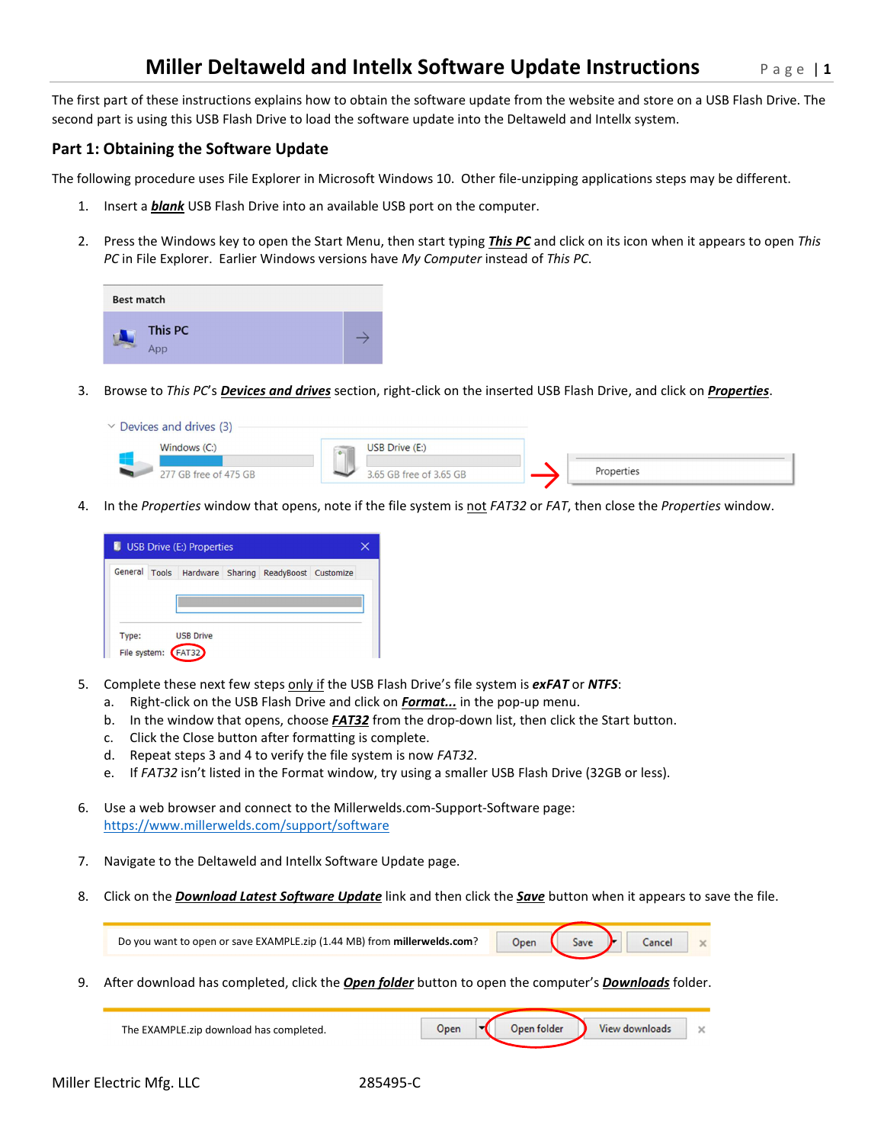The first part of these instructions explains how to obtain the software update from the website and store on a USB Flash Drive. The second part is using this USB Flash Drive to load the software update into the Deltaweld and Intellx system.

## **Part 1: Obtaining the Software Update**

The following procedure uses File Explorer in Microsoft Windows 10. Other file-unzipping applications steps may be different.

- 1. Insert a *blank* USB Flash Drive into an available USB port on the computer.
- 2. Press the Windows key to open the Start Menu, then start typing *This PC* and click on its icon when it appears to open *This PC* in File Explorer. Earlier Windows versions have *My Computer* instead of *This PC*.

| Best match |                |  |
|------------|----------------|--|
|            | This PC<br>App |  |

3. Browse to *This PC*'s *Devices and drives* section, right-click on the inserted USB Flash Drive, and click on *Properties*.

| $\vee$ Devices and drives (3) |                            |            |  |
|-------------------------------|----------------------------|------------|--|
| Windows $(Ci)$                | USB Drive (E:)<br>$\alpha$ |            |  |
| 277 GB free of 475 GB         | 3.65 GB free of 3.65 GB    | Properties |  |

4. In the *Properties* window that opens, note if the file system is not *FAT32* or *FAT*, then close the *Properties* window.

|              | USB Drive (E:) Properties |                                                     |  |
|--------------|---------------------------|-----------------------------------------------------|--|
|              |                           | General Tools Hardware Sharing ReadyBoost Customize |  |
|              |                           |                                                     |  |
|              |                           |                                                     |  |
| Type:        | <b>USB Drive</b>          |                                                     |  |
| File system: | <b>FAT32</b>              |                                                     |  |

- 5. Complete these next few steps only if the USB Flash Drive's file system is *exFAT* or *NTFS*:
	- a. Right-click on the USB Flash Drive and click on *Format...* in the pop-up menu.
	- b. In the window that opens, choose *FAT32* from the drop-down list, then click the Start button.
	- c. Click the Close button after formatting is complete.
	- d. Repeat steps 3 and 4 to verify the file system is now *FAT32*.
	- e. If *FAT32* isn't listed in the Format window, try using a smaller USB Flash Drive (32GB or less).
- 6. Use a web browser and connect to the Millerwelds.com-Support-Software page: https://www.millerwelds.com/support/software
- 7. Navigate to the Deltaweld and Intellx Software Update page.
- 8. Click on the *Download Latest Software Update* link and then click the *Save* button when it appears to save the file.

| Do you want to open or save EXAMPLE.zip (1.44 MB) from millerwelds.com? | Onen | Save <b>r</b> |  |  |
|-------------------------------------------------------------------------|------|---------------|--|--|
|                                                                         |      |               |  |  |

9. After download has completed, click the *Open folder* button to open the computer's *Downloads* folder.

| The EXAMPLE.zip download has completed. |  | Open folder | View downloads | × |
|-----------------------------------------|--|-------------|----------------|---|
|                                         |  |             |                |   |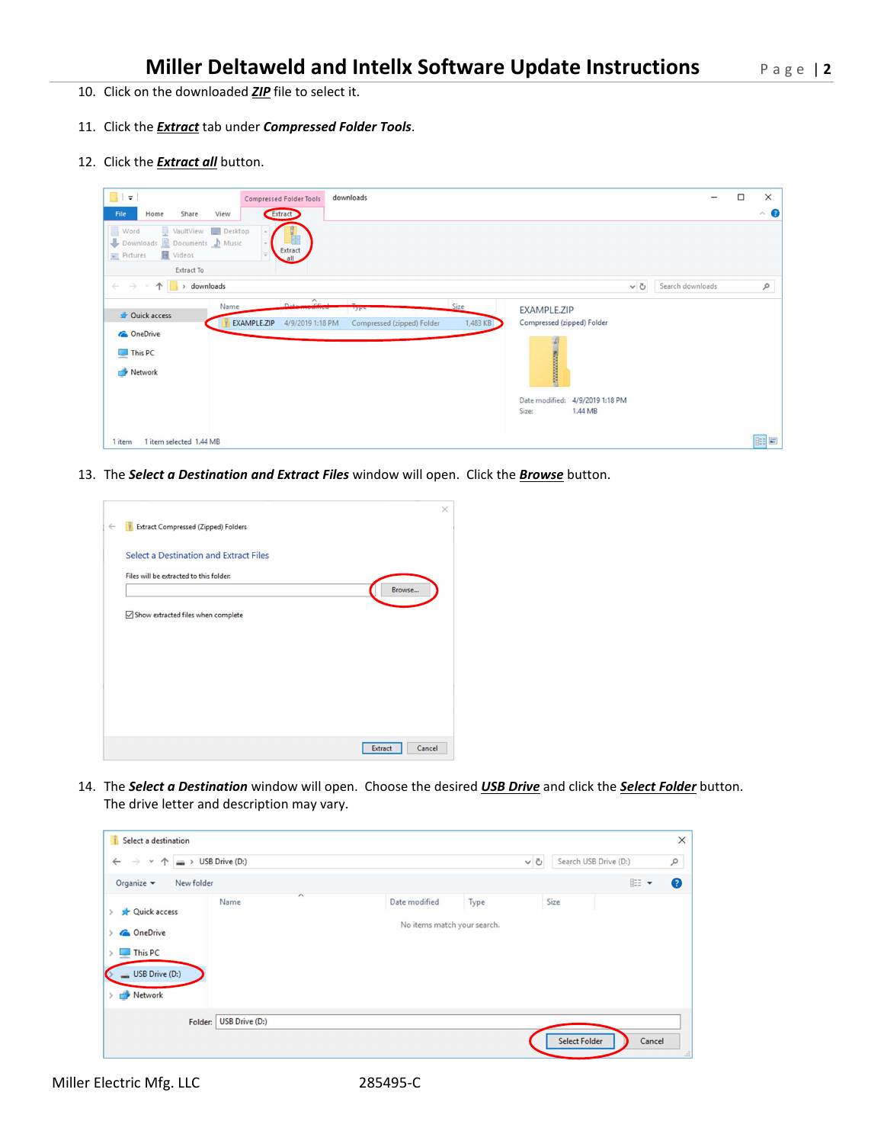- 10. Click on the downloaded *ZIP* file to select it.
- 11. Click the *Extract* tab under *Compressed Folder Tools*.
- 12. Click the *Extract all* button.

| $\blacksquare$<br>downloads<br>Compressed Folder Tools                                                                                                                                                                                                                                                                              |                  | $\Box$ | $\times$  |
|-------------------------------------------------------------------------------------------------------------------------------------------------------------------------------------------------------------------------------------------------------------------------------------------------------------------------------------|------------------|--------|-----------|
| Extract<br>File<br>Share<br>View<br>Home                                                                                                                                                                                                                                                                                            |                  |        | $\land$ 0 |
| Word<br>VaultView Desktop<br>駍<br>Downloads <b>R</b> Documents Music<br>Extract<br>图 Videos<br>Pictures<br>all<br><b>Extract To</b>                                                                                                                                                                                                 |                  |        |           |
| downloads<br>$\circ$<br>$\rightarrow$<br>$\leftarrow$<br>↑<br>$\rightarrow$                                                                                                                                                                                                                                                         | Search downloads |        | ٩         |
| $D_{\text{atym}}$<br>Size<br>Name<br><b>EXAMPLE.ZIP</b><br><b>Line</b><br>Quick access<br>Compressed (zipped) Folder<br>EXAMPLE.ZIP<br>1,483 KB<br>4/9/2019 1:18 PM<br>Compressed (zipped) Folder<br><b>ConeDrive</b><br><b>EXAMINATION</b><br>$\n  This PC\n$<br>Network<br>Date modified:<br>4/9/2019 1:18 PM<br>Size:<br>1.44 MB |                  |        |           |
| 1 item selected 1.44 MB<br>1 item                                                                                                                                                                                                                                                                                                   |                  |        | BEE       |

13. The *Select a Destination and Extract Files* window will open. Click the *Browse* button.



14. The *Select a Destination* window will open. Choose the desired *USB Drive* and click the *Select Folder* button. The drive letter and description may vary.

| Select a destination                                                                                 |                                  |                                              |          |                       |        | $\times$             |
|------------------------------------------------------------------------------------------------------|----------------------------------|----------------------------------------------|----------|-----------------------|--------|----------------------|
| $\leftarrow$<br>$\rightarrow$<br>$\checkmark$<br>$\uparrow$                                          | $\Rightarrow$ USB Drive (D:)     |                                              | $\sim$ 0 | Search USB Drive (D:) |        | ٩                    |
| Organize v<br>New folder                                                                             |                                  |                                              |          |                       | BEE -  | $\bullet$            |
| <b>Quick access</b><br><b>C</b> OneDrive<br>This PC<br><b>SALE</b><br>USB Drive (D:)<br>÷<br>Network | $\wedge$<br>Name                 | Date modified<br>No items match your search. | Type     | Size                  |        |                      |
|                                                                                                      | <b>USB Drive (D:)</b><br>Folder: |                                              |          | <b>Select Folder</b>  | Cancel | $\frac{1}{\sqrt{2}}$ |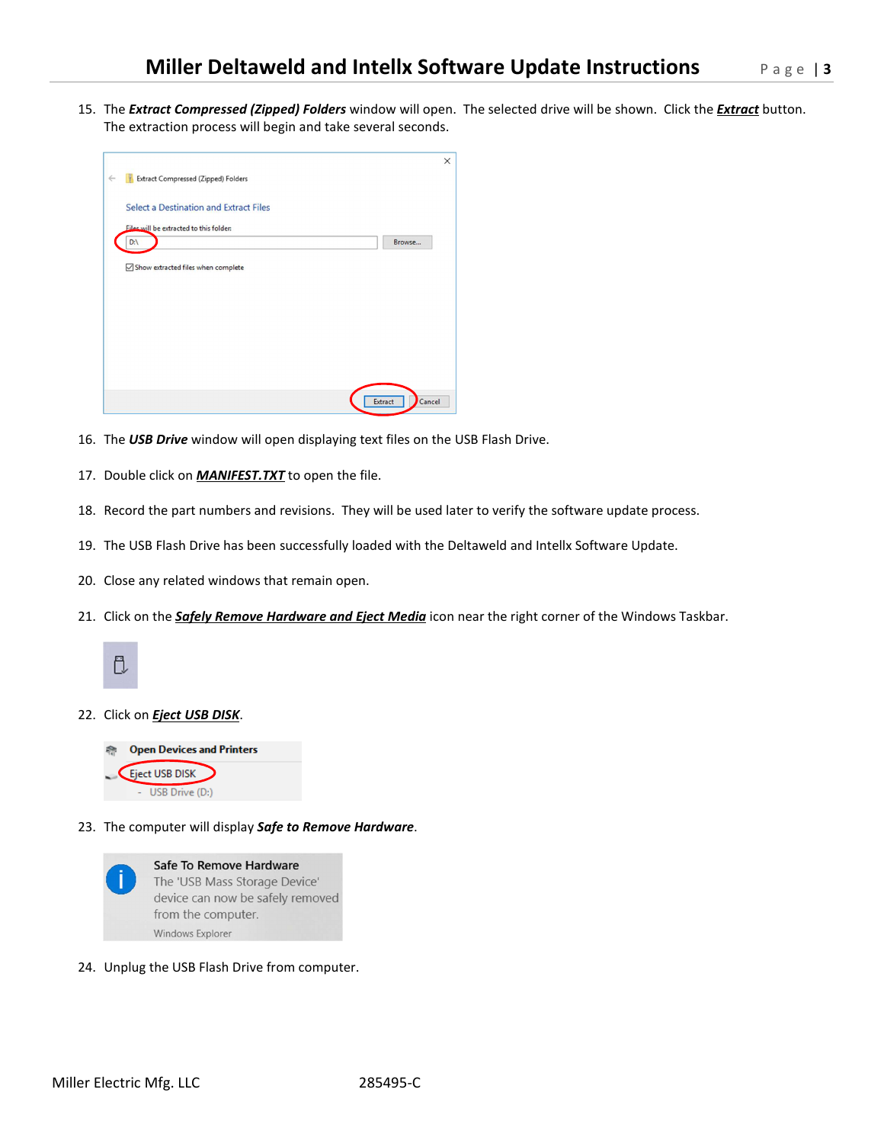15. The *Extract Compressed (Zipped) Folders* window will open. The selected drive will be shown. Click the *Extract* button. The extraction process will begin and take several seconds.

| <b>Extract Compressed (Zipped) Folders</b> |        |
|--------------------------------------------|--------|
| Select a Destination and Extract Files     |        |
| Files will be extracted to this folder:    |        |
| $D:\setminus$                              | Browse |
|                                            |        |
|                                            |        |
|                                            |        |
|                                            |        |
|                                            |        |
|                                            |        |

- 16. The *USB Drive* window will open displaying text files on the USB Flash Drive.
- 17. Double click on *MANIFEST.TXT* to open the file.
- 18. Record the part numbers and revisions. They will be used later to verify the software update process.
- 19. The USB Flash Drive has been successfully loaded with the Deltaweld and Intellx Software Update.
- 20. Close any related windows that remain open.
- 21. Click on the *Safely Remove Hardware and Eject Media* icon near the right corner of the Windows Taskbar.



## 22. Click on *Eject USB DISK*.



23. The computer will display *Safe to Remove Hardware*.



24. Unplug the USB Flash Drive from computer.